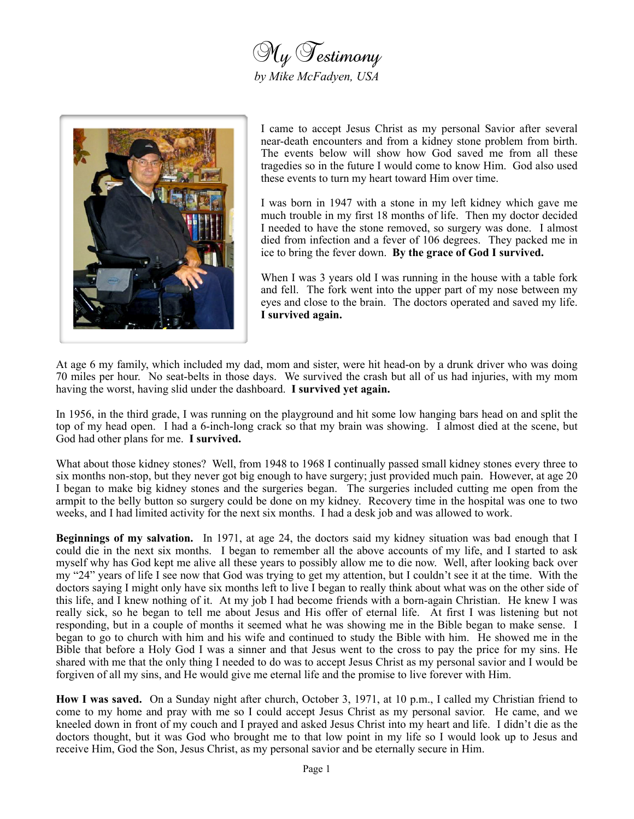



I came to accept Jesus Christ as my personal Savior after several near-death encounters and from a kidney stone problem from birth. The events below will show how God saved me from all these tragedies so in the future I would come to know Him. God also used these events to turn my heart toward Him over time.

I was born in 1947 with a stone in my left kidney which gave me much trouble in my first 18 months of life. Then my doctor decided I needed to have the stone removed, so surgery was done. I almost died from infection and a fever of 106 degrees. They packed me in ice to bring the fever down. **By the grace of God I survived.**

When I was 3 years old I was running in the house with a table fork and fell. The fork went into the upper part of my nose between my eyes and close to the brain. The doctors operated and saved my life. **I survived again.**

At age 6 my family, which included my dad, mom and sister, were hit head-on by a drunk driver who was doing 70 miles per hour. No seat-belts in those days. We survived the crash but all of us had injuries, with my mom having the worst, having slid under the dashboard. **I survived yet again.**

In 1956, in the third grade, I was running on the playground and hit some low hanging bars head on and split the top of my head open. I had a 6-inch-long crack so that my brain was showing. I almost died at the scene, but God had other plans for me. **I survived.**

What about those kidney stones? Well, from 1948 to 1968 I continually passed small kidney stones every three to six months non-stop, but they never got big enough to have surgery; just provided much pain. However, at age 20 I began to make big kidney stones and the surgeries began. The surgeries included cutting me open from the armpit to the belly button so surgery could be done on my kidney. Recovery time in the hospital was one to two weeks, and I had limited activity for the next six months. I had a desk job and was allowed to work.

**Beginnings of my salvation.** In 1971, at age 24, the doctors said my kidney situation was bad enough that I could die in the next six months. I began to remember all the above accounts of my life, and I started to ask myself why has God kept me alive all these years to possibly allow me to die now. Well, after looking back over my "24" years of life I see now that God was trying to get my attention, but I couldn't see it at the time. With the doctors saying I might only have six months left to live I began to really think about what was on the other side of this life, and I knew nothing of it. At my job I had become friends with a born-again Christian. He knew I was really sick, so he began to tell me about Jesus and His offer of eternal life. At first I was listening but not responding, but in a couple of months it seemed what he was showing me in the Bible began to make sense. I began to go to church with him and his wife and continued to study the Bible with him. He showed me in the Bible that before a Holy God I was a sinner and that Jesus went to the cross to pay the price for my sins. He shared with me that the only thing I needed to do was to accept Jesus Christ as my personal savior and I would be forgiven of all my sins, and He would give me eternal life and the promise to live forever with Him.

**How I was saved.** On a Sunday night after church, October 3, 1971, at 10 p.m., I called my Christian friend to come to my home and pray with me so I could accept Jesus Christ as my personal savior. He came, and we kneeled down in front of my couch and I prayed and asked Jesus Christ into my heart and life. I didn't die as the doctors thought, but it was God who brought me to that low point in my life so I would look up to Jesus and receive Him, God the Son, Jesus Christ, as my personal savior and be eternally secure in Him.